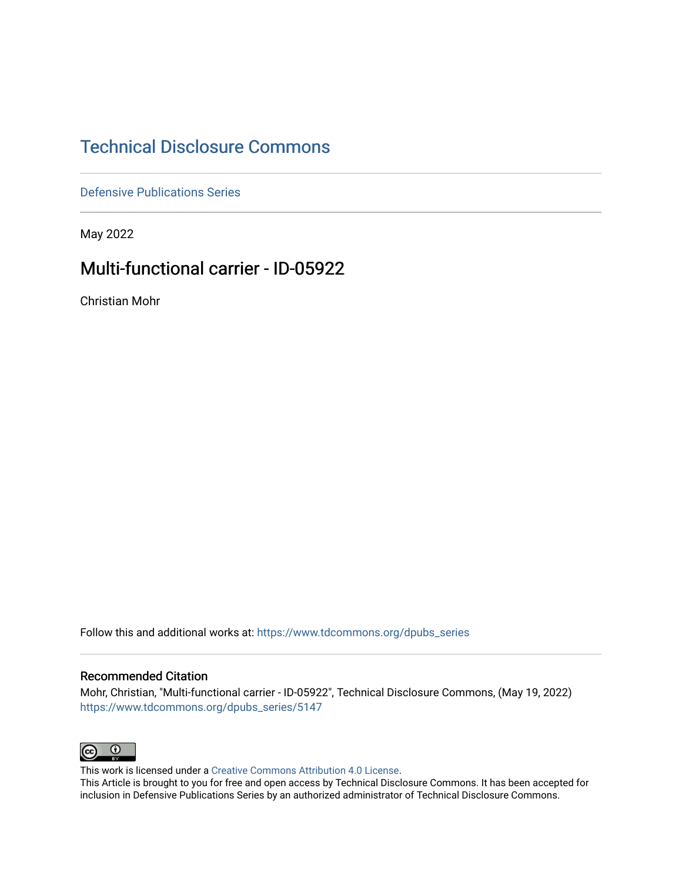# [Technical Disclosure Commons](https://www.tdcommons.org/)

[Defensive Publications Series](https://www.tdcommons.org/dpubs_series)

May 2022

# Multi-functional carrier - ID-05922

Christian Mohr

Follow this and additional works at: [https://www.tdcommons.org/dpubs\\_series](https://www.tdcommons.org/dpubs_series?utm_source=www.tdcommons.org%2Fdpubs_series%2F5147&utm_medium=PDF&utm_campaign=PDFCoverPages) 

#### Recommended Citation

Mohr, Christian, "Multi-functional carrier - ID-05922", Technical Disclosure Commons, (May 19, 2022) [https://www.tdcommons.org/dpubs\\_series/5147](https://www.tdcommons.org/dpubs_series/5147?utm_source=www.tdcommons.org%2Fdpubs_series%2F5147&utm_medium=PDF&utm_campaign=PDFCoverPages)



This work is licensed under a [Creative Commons Attribution 4.0 License](http://creativecommons.org/licenses/by/4.0/deed.en_US).

This Article is brought to you for free and open access by Technical Disclosure Commons. It has been accepted for inclusion in Defensive Publications Series by an authorized administrator of Technical Disclosure Commons.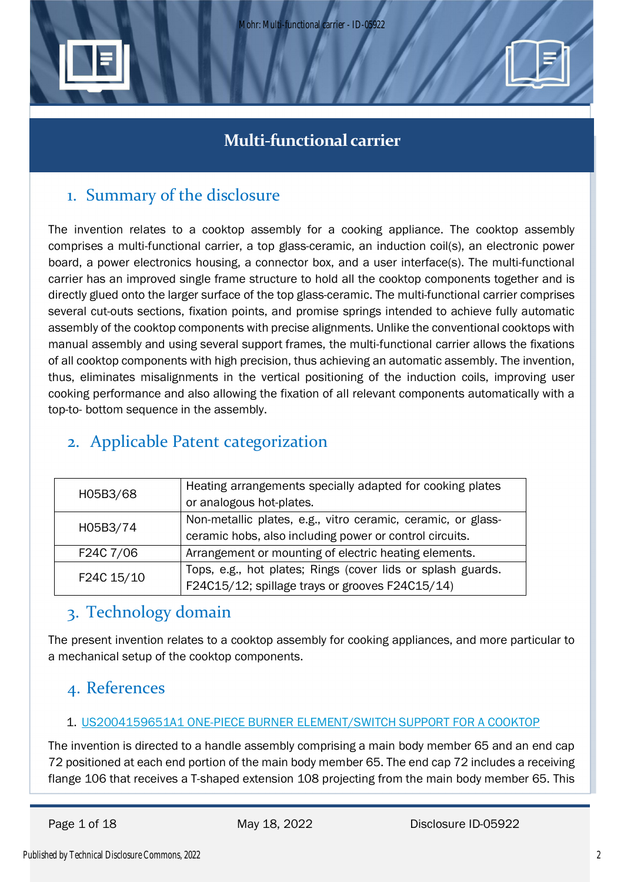

# **Multi-functional carrier**

# 1. Summary of the disclosure

The invention relates to a cooktop assembly for a cooking appliance. The cooktop assembly comprises a multi-functional carrier, a top glass-ceramic, an induction coil(s), an electronic power board, a power electronics housing, a connector box, and a user interface(s). The multi-functional carrier has an improved single frame structure to hold all the cooktop components together and is directly glued onto the larger surface of the top glass-ceramic. The multi-functional carrier comprises several cut-outs sections, fixation points, and promise springs intended to achieve fully automatic assembly of the cooktop components with precise alignments. Unlike the conventional cooktops with manual assembly and using several support frames, the multi-functional carrier allows the fixations of all cooktop components with high precision, thus achieving an automatic assembly. The invention, thus, eliminates misalignments in the vertical positioning of the induction coils, improving user cooking performance and also allowing the fixation of all relevant components automatically with a top-to- bottom sequence in the assembly.

# 2. Applicable Patent categorization

| H05B3/68   | Heating arrangements specially adapted for cooking plates    |
|------------|--------------------------------------------------------------|
|            | or analogous hot-plates.                                     |
| H05B3/74   | Non-metallic plates, e.g., vitro ceramic, ceramic, or glass- |
|            | ceramic hobs, also including power or control circuits.      |
| F24C 7/06  | Arrangement or mounting of electric heating elements.        |
| F24C 15/10 | Tops, e.g., hot plates; Rings (cover lids or splash guards.  |
|            | F24C15/12; spillage trays or grooves F24C15/14)              |

# 3. Technology domain

The present invention relates to a cooktop assembly for cooking appliances, and more particular to a mechanical setup of the cooktop components.

# 4. References

# 1. US2004159651A1 ONE-PIECE BURNER ELEMENT/SWITCH SUPPORT FOR A COOKTOP

The invention is directed to a handle assembly comprising a main body member 65 and an end cap 72 positioned at each end portion of the main body member 65. The end cap 72 includes a receiving flange 106 that receives a T-shaped extension 108 projecting from the main body member 65. This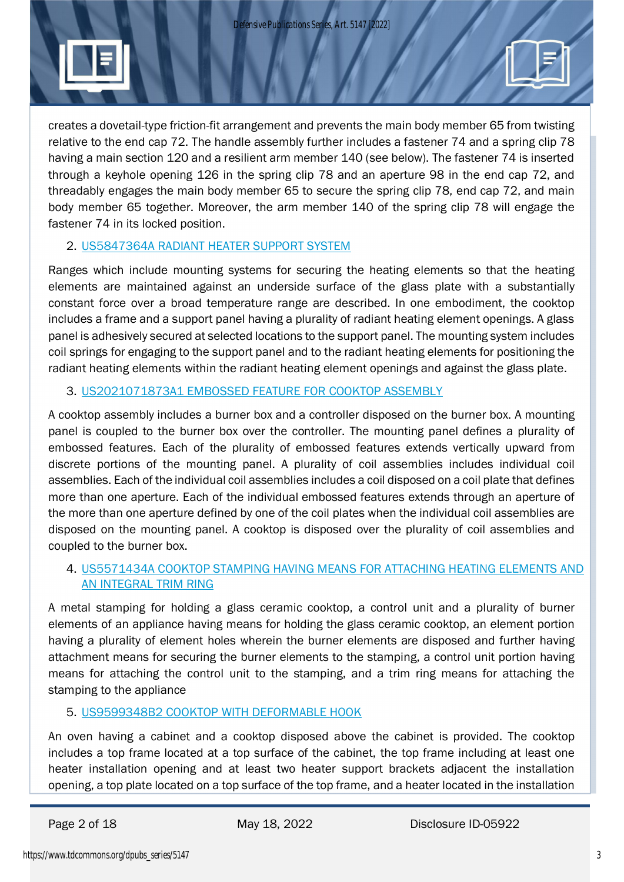*Defensive Publications Series, Art. 5147 [2022]*



creates a dovetail-type friction-fit arrangement and prevents the main body member 65 from twisting relative to the end cap 72. The handle assembly further includes a fastener 74 and a spring clip 78 having a main section 120 and a resilient arm member 140 (see below). The fastener 74 is inserted through a keyhole opening 126 in the spring clip 78 and an aperture 98 in the end cap 72, and threadably engages the main body member 65 to secure the spring clip 78, end cap 72, and main body member 65 together. Moreover, the arm member 140 of the spring clip 78 will engage the fastener 74 in its locked position.

### 2. US5847364A RADIANT HEATER SUPPORT SYSTEM

Ranges which include mounting systems for securing the heating elements so that the heating elements are maintained against an underside surface of the glass plate with a substantially constant force over a broad temperature range are described. In one embodiment, the cooktop includes a frame and a support panel having a plurality of radiant heating element openings. A glass panel is adhesively secured at selected locations to the support panel. The mounting system includes coil springs for engaging to the support panel and to the radiant heating elements for positioning the radiant heating elements within the radiant heating element openings and against the glass plate.

### 3. US2021071873A1 EMBOSSED FEATURE FOR COOKTOP ASSEMBLY

A cooktop assembly includes a burner box and a controller disposed on the burner box. A mounting panel is coupled to the burner box over the controller. The mounting panel defines a plurality of embossed features. Each of the plurality of embossed features extends vertically upward from discrete portions of the mounting panel. A plurality of coil assemblies includes individual coil assemblies. Each of the individual coil assemblies includes a coil disposed on a coil plate that defines more than one aperture. Each of the individual embossed features extends through an aperture of the more than one aperture defined by one of the coil plates when the individual coil assemblies are disposed on the mounting panel. A cooktop is disposed over the plurality of coil assemblies and coupled to the burner box.

### 4. US5571434A COOKTOP STAMPING HAVING MEANS FOR ATTACHING HEATING ELEMENTS AND AN INTEGRAL TRIM RING

A metal stamping for holding a glass ceramic cooktop, a control unit and a plurality of burner elements of an appliance having means for holding the glass ceramic cooktop, an element portion having a plurality of element holes wherein the burner elements are disposed and further having attachment means for securing the burner elements to the stamping, a control unit portion having means for attaching the control unit to the stamping, and a trim ring means for attaching the stamping to the appliance

# 5. US9599348B2 COOKTOP WITH DEFORMABLE HOOK

An oven having a cabinet and a cooktop disposed above the cabinet is provided. The cooktop includes a top frame located at a top surface of the cabinet, the top frame including at least one heater installation opening and at least two heater support brackets adjacent the installation opening, a top plate located on a top surface of the top frame, and a heater located in the installation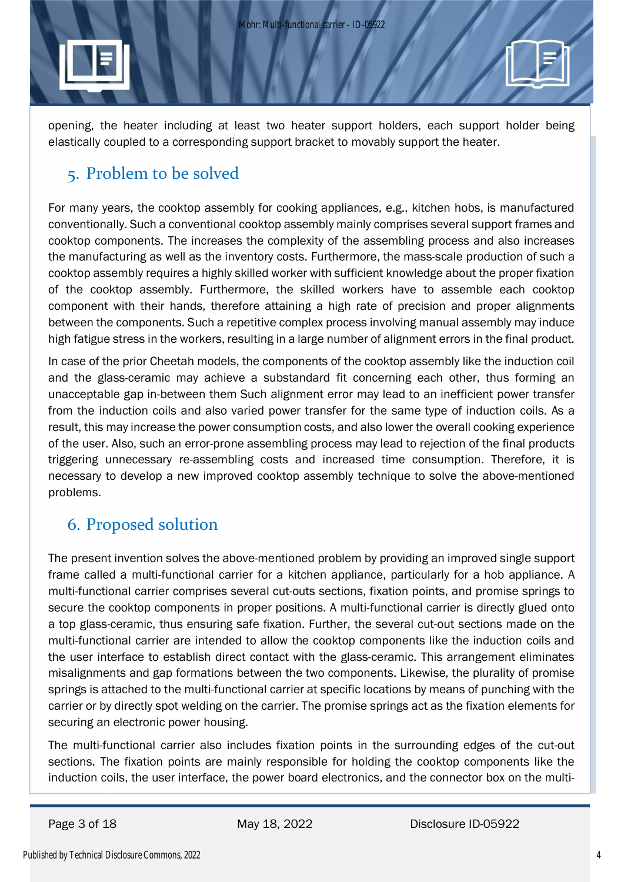opening, the heater including at least two heater support holders, each support holder being elastically coupled to a corresponding support bracket to movably support the heater.

# 5. Problem to be solved

For many years, the cooktop assembly for cooking appliances, e.g., kitchen hobs, is manufactured conventionally. Such a conventional cooktop assembly mainly comprises several support frames and cooktop components. The increases the complexity of the assembling process and also increases the manufacturing as well as the inventory costs. Furthermore, the mass-scale production of such a cooktop assembly requires a highly skilled worker with sufficient knowledge about the proper fixation of the cooktop assembly. Furthermore, the skilled workers have to assemble each cooktop component with their hands, therefore attaining a high rate of precision and proper alignments between the components. Such a repetitive complex process involving manual assembly may induce high fatigue stress in the workers, resulting in a large number of alignment errors in the final product.

In case of the prior Cheetah models, the components of the cooktop assembly like the induction coil and the glass-ceramic may achieve a substandard fit concerning each other, thus forming an unacceptable gap in-between them Such alignment error may lead to an inefficient power transfer from the induction coils and also varied power transfer for the same type of induction coils. As a result, this may increase the power consumption costs, and also lower the overall cooking experience of the user. Also, such an error-prone assembling process may lead to rejection of the final products triggering unnecessary re-assembling costs and increased time consumption. Therefore, it is necessary to develop a new improved cooktop assembly technique to solve the above-mentioned problems.

# 6. Proposed solution

The present invention solves the above-mentioned problem by providing an improved single support frame called a multi-functional carrier for a kitchen appliance, particularly for a hob appliance. A multi-functional carrier comprises several cut-outs sections, fixation points, and promise springs to secure the cooktop components in proper positions. A multi-functional carrier is directly glued onto a top glass-ceramic, thus ensuring safe fixation. Further, the several cut-out sections made on the multi-functional carrier are intended to allow the cooktop components like the induction coils and the user interface to establish direct contact with the glass-ceramic. This arrangement eliminates misalignments and gap formations between the two components. Likewise, the plurality of promise springs is attached to the multi-functional carrier at specific locations by means of punching with the carrier or by directly spot welding on the carrier. The promise springs act as the fixation elements for securing an electronic power housing.

The multi-functional carrier also includes fixation points in the surrounding edges of the cut-out sections. The fixation points are mainly responsible for holding the cooktop components like the induction coils, the user interface, the power board electronics, and the connector box on the multi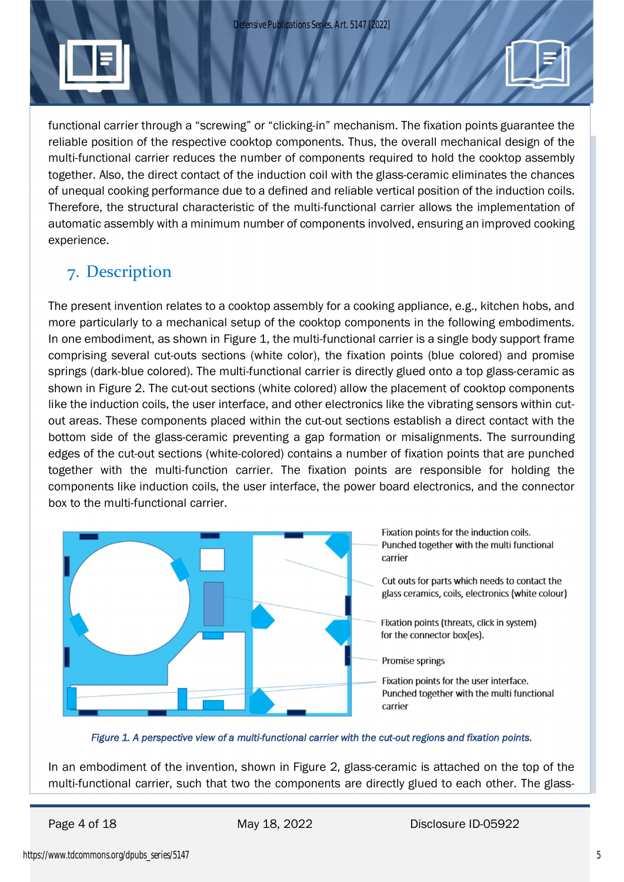functional carrier through a "screwing" or "clicking-in" mechanism. The fixation points guarantee the reliable position of the respective cooktop components. Thus, the overall mechanical design of the multi-functional carrier reduces the number of components required to hold the cooktop assembly together. Also, the direct contact of the induction coil with the glass-ceramic eliminates the chances of unequal cooking performance due to a defined and reliable vertical position of the induction coils. Therefore, the structural characteristic of the multi-functional carrier allows the implementation of automatic assembly with a minimum number of components involved, ensuring an improved cooking experience.

# 7. Description

The present invention relates to a cooktop assembly for a cooking appliance, e.g., kitchen hobs, and more particularly to a mechanical setup of the cooktop components in the following embodiments. In one embodiment, as shown in Figure 1, the multi-functional carrier is a single body support frame comprising several cut-outs sections (white color), the fixation points (blue colored) and promise springs (dark-blue colored). The multi-functional carrier is directly glued onto a top glass-ceramic as shown in Figure 2. The cut-out sections (white colored) allow the placement of cooktop components like the induction coils, the user interface, and other electronics like the vibrating sensors within cutout areas. These components placed within the cut-out sections establish a direct contact with the bottom side of the glass-ceramic preventing a gap formation or misalignments. The surrounding edges of the cut-out sections (white-colored) contains a number of fixation points that are punched together with the multi-function carrier. The fixation points are responsible for holding the components like induction coils, the user interface, the power board electronics, and the connector box to the multi-functional carrier.



#### *Figure 1. A perspective view of a multi-functional carrier with the cut-out regions and fixation points.*

In an embodiment of the invention, shown in Figure 2, glass-ceramic is attached on the top of the multi-functional carrier, such that two the components are directly glued to each other. The glass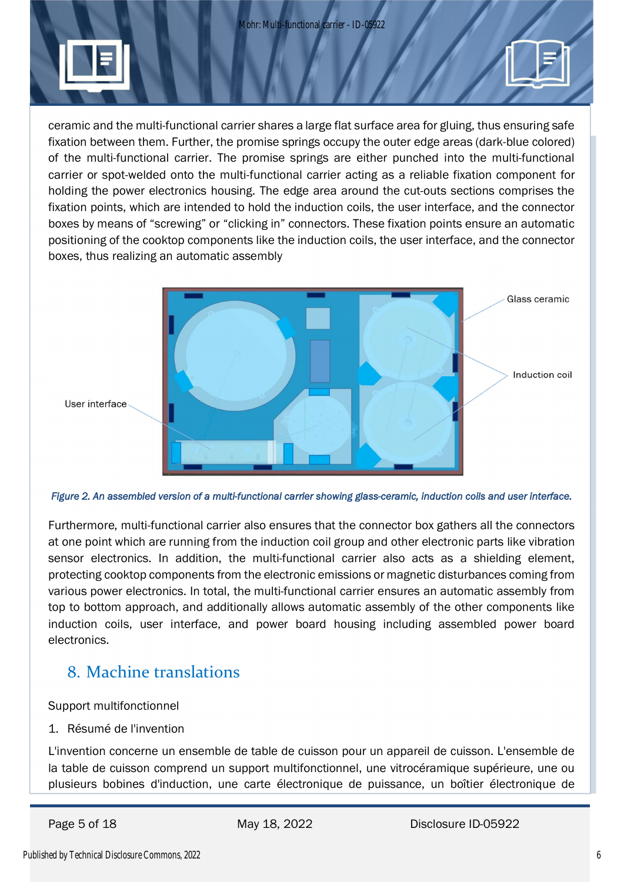Mohr: Multi-functional carrier - ID-05922



ceramic and the multi-functional carrier shares a large flat surface area for gluing, thus ensuring safe fixation between them. Further, the promise springs occupy the outer edge areas (dark-blue colored) of the multi-functional carrier. The promise springs are either punched into the multi-functional carrier or spot-welded onto the multi-functional carrier acting as a reliable fixation component for holding the power electronics housing. The edge area around the cut-outs sections comprises the fixation points, which are intended to hold the induction coils, the user interface, and the connector boxes by means of "screwing" or "clicking in" connectors. These fixation points ensure an automatic positioning of the cooktop components like the induction coils, the user interface, and the connector boxes, thus realizing an automatic assembly



*Figure 2. An assembled version of a multi-functional carrier showing glass-ceramic, induction coils and user interface.*

Furthermore, multi-functional carrier also ensures that the connector box gathers all the connectors at one point which are running from the induction coil group and other electronic parts like vibration sensor electronics. In addition, the multi-functional carrier also acts as a shielding element, protecting cooktop components from the electronic emissions or magnetic disturbances coming from various power electronics. In total, the multi-functional carrier ensures an automatic assembly from top to bottom approach, and additionally allows automatic assembly of the other components like induction coils, user interface, and power board housing including assembled power board electronics.

# 8. Machine translations

Support multifonctionnel

1. Résumé de l'invention

L'invention concerne un ensemble de table de cuisson pour un appareil de cuisson. L'ensemble de la table de cuisson comprend un support multifonctionnel, une vitrocéramique supérieure, une ou plusieurs bobines d'induction, une carte électronique de puissance, un boîtier électronique de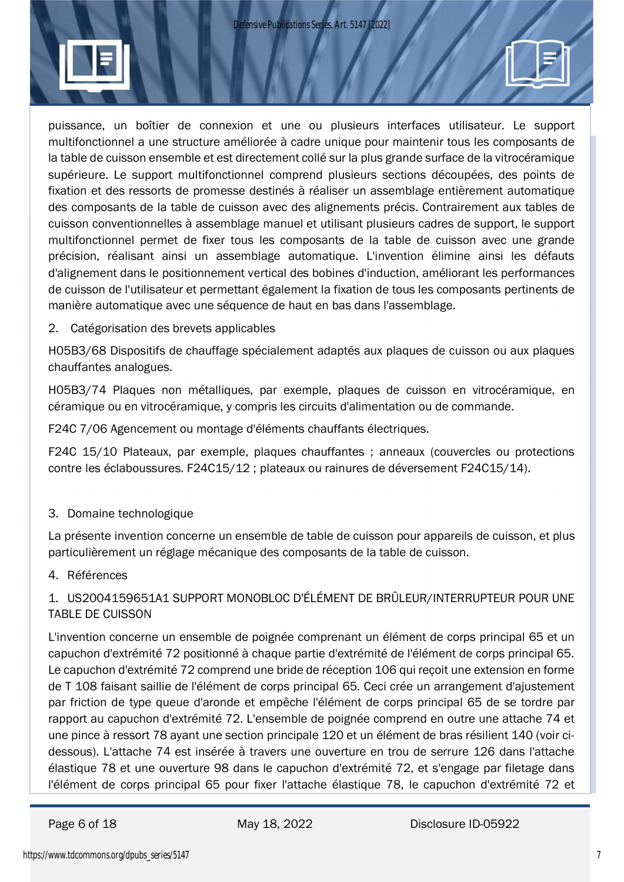

puissance, un boîtier de connexion et une ou plusieurs interfaces utilisateur. Le support multifonctionnel a une structure améliorée à cadre unique pour maintenir tous les composants de la table de cuisson ensemble et est directement collé sur la plus grande surface de la vitrocéramique supérieure. Le support multifonctionnel comprend plusieurs sections découpées, des points de fixation et des ressorts de promesse destinés à réaliser un assemblage entièrement automatique des composants de la table de cuisson avec des alignements précis. Contrairement aux tables de cuisson conventionnelles à assemblage manuel et utilisant plusieurs cadres de support, le support multifonctionnel permet de fixer tous les composants de la table de cuisson avec une grande précision, réalisant ainsi un assemblage automatique. L'invention élimine ainsi les défauts d'alignement dans le positionnement vertical des bobines d'induction, améliorant les performances de cuisson de l'utilisateur et permettant également la fixation de tous les composants pertinents de manière automatique avec une séquence de haut en bas dans l'assemblage.

2. Catégorisation des brevets applicables

H05B3/68 Dispositifs de chauffage spécialement adaptés aux plaques de cuisson ou aux plaques chauffantes analogues.

H05B3/74 Plaques non métalliques, par exemple, plaques de cuisson en vitrocéramique, en céramique ou en vitrocéramique, y compris les circuits d'alimentation ou de commande.

F24C 7/06 Agencement ou montage d'éléments chauffants électriques.

F24C 15/10 Plateaux, par exemple, plaques chauffantes ; anneaux (couvercles ou protections contre les éclaboussures. F24C15/12 ; plateaux ou rainures de déversement F24C15/14).

### 3. Domaine technologique

La présente invention concerne un ensemble de table de cuisson pour appareils de cuisson, et plus particulièrement un réglage mécanique des composants de la table de cuisson.

#### 4. Références

# 1. US2004159651A1 SUPPORT MONOBLOC D'ÉLÉMENT DE BRÛLEUR/INTERRUPTEUR POUR UNE TABLE DE CUISSON

L'invention concerne un ensemble de poignée comprenant un élément de corps principal 65 et un capuchon d'extrémité 72 positionné à chaque partie d'extrémité de l'élément de corps principal 65. Le capuchon d'extrémité 72 comprend une bride de réception 106 qui reçoit une extension en forme de T 108 faisant saillie de l'élément de corps principal 65. Ceci crée un arrangement d'ajustement par friction de type queue d'aronde et empêche l'élément de corps principal 65 de se tordre par rapport au capuchon d'extrémité 72. L'ensemble de poignée comprend en outre une attache 74 et une pince à ressort 78 ayant une section principale 120 et un élément de bras résilient 140 (voir cidessous). L'attache 74 est insérée à travers une ouverture en trou de serrure 126 dans l'attache élastique 78 et une ouverture 98 dans le capuchon d'extrémité 72, et s'engage par filetage dans l'élément de corps principal 65 pour fixer l'attache élastique 78, le capuchon d'extrémité 72 et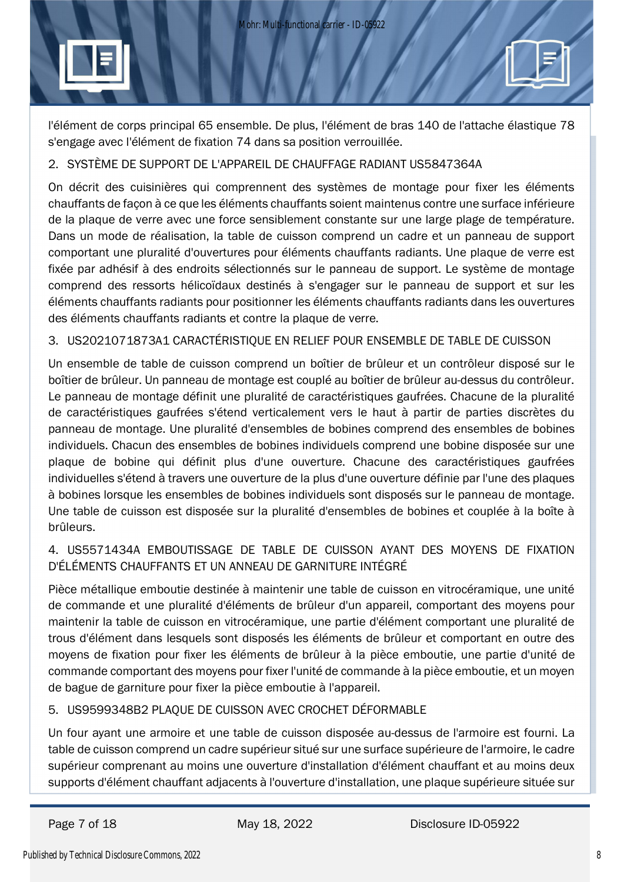

l'élément de corps principal 65 ensemble. De plus, l'élément de bras 140 de l'attache élastique 78 s'engage avec l'élément de fixation 74 dans sa position verrouillée.

### 2. SYSTÈME DE SUPPORT DE L'APPAREIL DE CHAUFFAGE RADIANT US5847364A

On décrit des cuisinières qui comprennent des systèmes de montage pour fixer les éléments chauffants de façon à ce que les éléments chauffants soient maintenus contre une surface inférieure de la plaque de verre avec une force sensiblement constante sur une large plage de température. Dans un mode de réalisation, la table de cuisson comprend un cadre et un panneau de support comportant une pluralité d'ouvertures pour éléments chauffants radiants. Une plaque de verre est fixée par adhésif à des endroits sélectionnés sur le panneau de support. Le système de montage comprend des ressorts hélicoïdaux destinés à s'engager sur le panneau de support et sur les éléments chauffants radiants pour positionner les éléments chauffants radiants dans les ouvertures des éléments chauffants radiants et contre la plaque de verre.

### 3. US2021071873A1 CARACTÉRISTIQUE EN RELIEF POUR ENSEMBLE DE TABLE DE CUISSON

Un ensemble de table de cuisson comprend un boîtier de brûleur et un contrôleur disposé sur le boîtier de brûleur. Un panneau de montage est couplé au boîtier de brûleur au-dessus du contrôleur. Le panneau de montage définit une pluralité de caractéristiques gaufrées. Chacune de la pluralité de caractéristiques gaufrées s'étend verticalement vers le haut à partir de parties discrètes du panneau de montage. Une pluralité d'ensembles de bobines comprend des ensembles de bobines individuels. Chacun des ensembles de bobines individuels comprend une bobine disposée sur une plaque de bobine qui définit plus d'une ouverture. Chacune des caractéristiques gaufrées individuelles s'étend à travers une ouverture de la plus d'une ouverture définie par l'une des plaques à bobines lorsque les ensembles de bobines individuels sont disposés sur le panneau de montage. Une table de cuisson est disposée sur la pluralité d'ensembles de bobines et couplée à la boîte à brûleurs.

# 4. US5571434A EMBOUTISSAGE DE TABLE DE CUISSON AYANT DES MOYENS DE FIXATION D'ÉLÉMENTS CHAUFFANTS ET UN ANNEAU DE GARNITURE INTÉGRÉ

Pièce métallique emboutie destinée à maintenir une table de cuisson en vitrocéramique, une unité de commande et une pluralité d'éléments de brûleur d'un appareil, comportant des moyens pour maintenir la table de cuisson en vitrocéramique, une partie d'élément comportant une pluralité de trous d'élément dans lesquels sont disposés les éléments de brûleur et comportant en outre des moyens de fixation pour fixer les éléments de brûleur à la pièce emboutie, une partie d'unité de commande comportant des moyens pour fixer l'unité de commande à la pièce emboutie, et un moyen de bague de garniture pour fixer la pièce emboutie à l'appareil.

### 5. US9599348B2 PLAQUE DE CUISSON AVEC CROCHET DÉFORMABLE

Un four ayant une armoire et une table de cuisson disposée au-dessus de l'armoire est fourni. La table de cuisson comprend un cadre supérieur situé sur une surface supérieure de l'armoire, le cadre supérieur comprenant au moins une ouverture d'installation d'élément chauffant et au moins deux supports d'élément chauffant adjacents à l'ouverture d'installation, une plaque supérieure située sur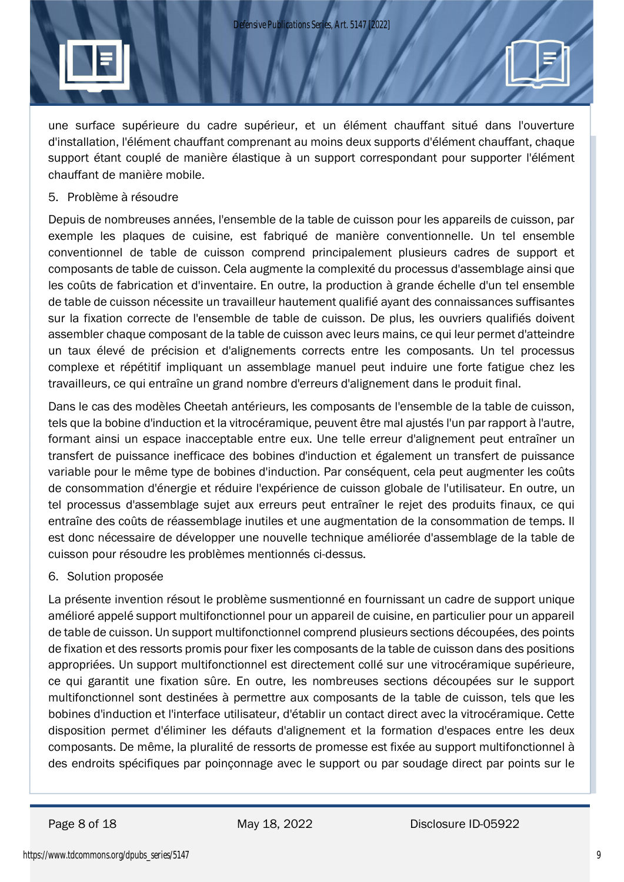

une surface supérieure du cadre supérieur, et un élément chauffant situé dans l'ouverture d'installation, l'élément chauffant comprenant au moins deux supports d'élément chauffant, chaque support étant couplé de manière élastique à un support correspondant pour supporter l'élément chauffant de manière mobile.

5. Problème à résoudre

Depuis de nombreuses années, l'ensemble de la table de cuisson pour les appareils de cuisson, par exemple les plaques de cuisine, est fabriqué de manière conventionnelle. Un tel ensemble conventionnel de table de cuisson comprend principalement plusieurs cadres de support et composants de table de cuisson. Cela augmente la complexité du processus d'assemblage ainsi que les coûts de fabrication et d'inventaire. En outre, la production à grande échelle d'un tel ensemble de table de cuisson nécessite un travailleur hautement qualifié ayant des connaissances suffisantes sur la fixation correcte de l'ensemble de table de cuisson. De plus, les ouvriers qualifiés doivent assembler chaque composant de la table de cuisson avec leurs mains, ce qui leur permet d'atteindre un taux élevé de précision et d'alignements corrects entre les composants. Un tel processus complexe et répétitif impliquant un assemblage manuel peut induire une forte fatigue chez les travailleurs, ce qui entraîne un grand nombre d'erreurs d'alignement dans le produit final.

Dans le cas des modèles Cheetah antérieurs, les composants de l'ensemble de la table de cuisson, tels que la bobine d'induction et la vitrocéramique, peuvent être mal ajustés l'un par rapport à l'autre, formant ainsi un espace inacceptable entre eux. Une telle erreur d'alignement peut entraîner un transfert de puissance inefficace des bobines d'induction et également un transfert de puissance variable pour le même type de bobines d'induction. Par conséquent, cela peut augmenter les coûts de consommation d'énergie et réduire l'expérience de cuisson globale de l'utilisateur. En outre, un tel processus d'assemblage sujet aux erreurs peut entraîner le rejet des produits finaux, ce qui entraîne des coûts de réassemblage inutiles et une augmentation de la consommation de temps. Il est donc nécessaire de développer une nouvelle technique améliorée d'assemblage de la table de cuisson pour résoudre les problèmes mentionnés ci-dessus.

6. Solution proposée

La présente invention résout le problème susmentionné en fournissant un cadre de support unique amélioré appelé support multifonctionnel pour un appareil de cuisine, en particulier pour un appareil de table de cuisson. Un support multifonctionnel comprend plusieurs sections découpées, des points de fixation et des ressorts promis pour fixer les composants de la table de cuisson dans des positions appropriées. Un support multifonctionnel est directement collé sur une vitrocéramique supérieure, ce qui garantit une fixation sûre. En outre, les nombreuses sections découpées sur le support multifonctionnel sont destinées à permettre aux composants de la table de cuisson, tels que les bobines d'induction et l'interface utilisateur, d'établir un contact direct avec la vitrocéramique. Cette disposition permet d'éliminer les défauts d'alignement et la formation d'espaces entre les deux composants. De même, la pluralité de ressorts de promesse est fixée au support multifonctionnel à des endroits spécifiques par poinçonnage avec le support ou par soudage direct par points sur le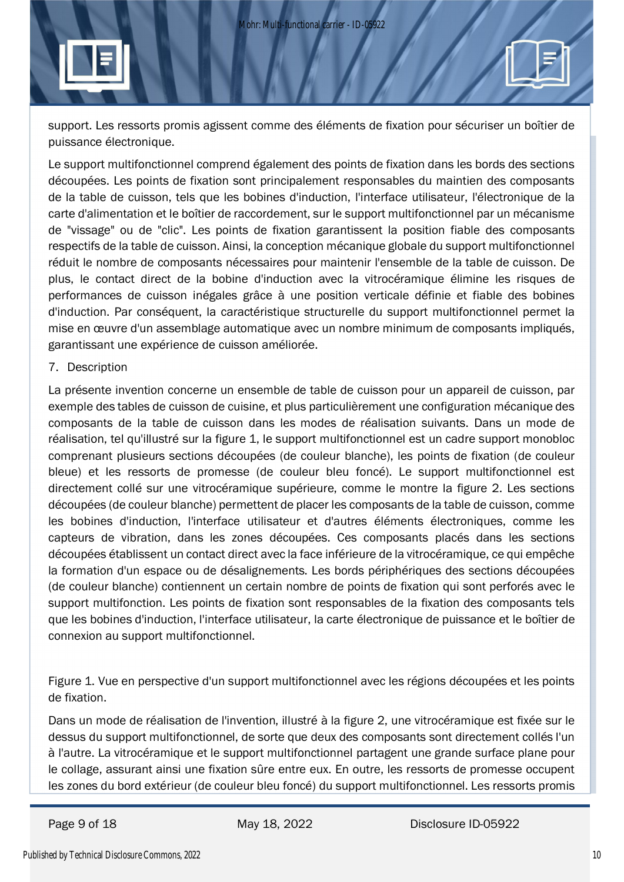support. Les ressorts promis agissent comme des éléments de fixation pour sécuriser un boîtier de puissance électronique.

Le support multifonctionnel comprend également des points de fixation dans les bords des sections découpées. Les points de fixation sont principalement responsables du maintien des composants de la table de cuisson, tels que les bobines d'induction, l'interface utilisateur, l'électronique de la carte d'alimentation et le boîtier de raccordement, sur le support multifonctionnel par un mécanisme de "vissage" ou de "clic". Les points de fixation garantissent la position fiable des composants respectifs de la table de cuisson. Ainsi, la conception mécanique globale du support multifonctionnel réduit le nombre de composants nécessaires pour maintenir l'ensemble de la table de cuisson. De plus, le contact direct de la bobine d'induction avec la vitrocéramique élimine les risques de performances de cuisson inégales grâce à une position verticale définie et fiable des bobines d'induction. Par conséquent, la caractéristique structurelle du support multifonctionnel permet la mise en œuvre d'un assemblage automatique avec un nombre minimum de composants impliqués, garantissant une expérience de cuisson améliorée.

#### 7. Description

La présente invention concerne un ensemble de table de cuisson pour un appareil de cuisson, par exemple des tables de cuisson de cuisine, et plus particulièrement une configuration mécanique des composants de la table de cuisson dans les modes de réalisation suivants. Dans un mode de réalisation, tel qu'illustré sur la figure 1, le support multifonctionnel est un cadre support monobloc comprenant plusieurs sections découpées (de couleur blanche), les points de fixation (de couleur bleue) et les ressorts de promesse (de couleur bleu foncé). Le support multifonctionnel est directement collé sur une vitrocéramique supérieure, comme le montre la figure 2. Les sections découpées (de couleur blanche) permettent de placer les composants de la table de cuisson, comme les bobines d'induction, l'interface utilisateur et d'autres éléments électroniques, comme les capteurs de vibration, dans les zones découpées. Ces composants placés dans les sections découpées établissent un contact direct avec la face inférieure de la vitrocéramique, ce qui empêche la formation d'un espace ou de désalignements. Les bords périphériques des sections découpées (de couleur blanche) contiennent un certain nombre de points de fixation qui sont perforés avec le support multifonction. Les points de fixation sont responsables de la fixation des composants tels que les bobines d'induction, l'interface utilisateur, la carte électronique de puissance et le boîtier de connexion au support multifonctionnel.

Figure 1. Vue en perspective d'un support multifonctionnel avec les régions découpées et les points de fixation.

Dans un mode de réalisation de l'invention, illustré à la figure 2, une vitrocéramique est fixée sur le dessus du support multifonctionnel, de sorte que deux des composants sont directement collés l'un à l'autre. La vitrocéramique et le support multifonctionnel partagent une grande surface plane pour le collage, assurant ainsi une fixation sûre entre eux. En outre, les ressorts de promesse occupent les zones du bord extérieur (de couleur bleu foncé) du support multifonctionnel. Les ressorts promis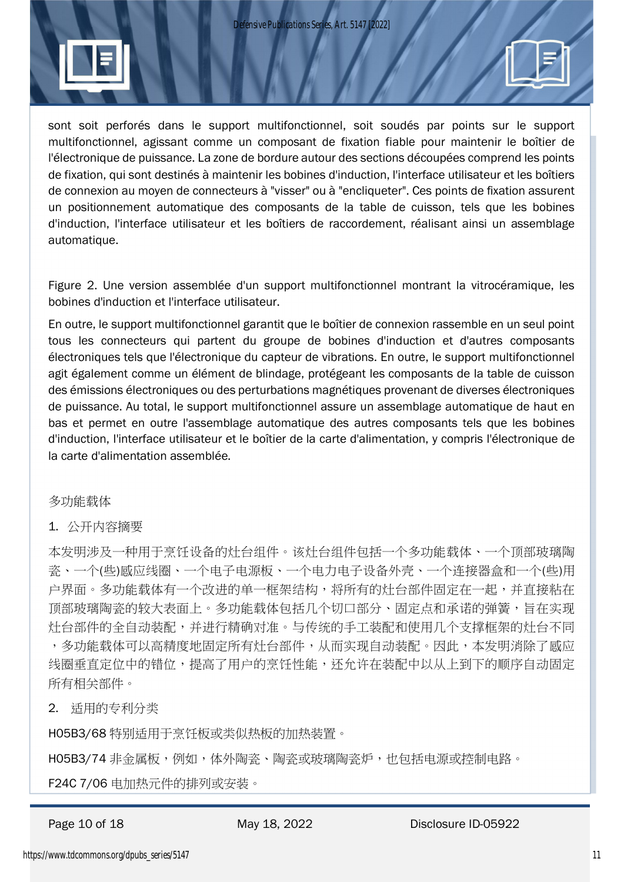

sont soit perforés dans le support multifonctionnel, soit soudés par points sur le support multifonctionnel, agissant comme un composant de fixation fiable pour maintenir le boîtier de l'électronique de puissance. La zone de bordure autour des sections découpées comprend les points de fixation, qui sont destinés à maintenir les bobines d'induction, l'interface utilisateur et les boîtiers de connexion au moyen de connecteurs à "visser" ou à "encliqueter". Ces points de fixation assurent un positionnement automatique des composants de la table de cuisson, tels que les bobines d'induction, l'interface utilisateur et les boîtiers de raccordement, réalisant ainsi un assemblage automatique.

Figure 2. Une version assemblée d'un support multifonctionnel montrant la vitrocéramique, les bobines d'induction et l'interface utilisateur.

En outre, le support multifonctionnel garantit que le boîtier de connexion rassemble en un seul point tous les connecteurs qui partent du groupe de bobines d'induction et d'autres composants électroniques tels que l'électronique du capteur de vibrations. En outre, le support multifonctionnel agit également comme un élément de blindage, protégeant les composants de la table de cuisson des émissions électroniques ou des perturbations magnétiques provenant de diverses électroniques de puissance. Au total, le support multifonctionnel assure un assemblage automatique de haut en bas et permet en outre l'assemblage automatique des autres composants tels que les bobines d'induction, l'interface utilisateur et le boîtier de la carte d'alimentation, y compris l'électronique de la carte d'alimentation assemblée.

### 多功能载体

#### 1. 公开内容摘要

本发明涉及一种用于烹饪设备的灶台组件。该灶台组件包括一个多功能载体、一个顶部玻璃陶 瓷、一个(些)感应线圈、一个电子电源板、一个电力电子设备外壳、一个连接器盒和一个(些)用 户界面。多功能载体有一个改进的单一框架结构,将所有的灶台部件固定在一起,并直接粘在 顶部玻璃陶瓷的较大表面上。多功能载体包括几个切口部分、固定点和承诺的弹簧,旨在实现 灶台部件的全自动装配,并进行精确对准。与传统的手工装配和使用几个支撑框架的灶台不同 ,多功能载体可以高精度地固定所有灶台部件,从而实现自动装配。因此,本发明消除了感应 线圈垂直定位中的错位,提高了用户的烹饪性能,还允许在装配中以从上到下的顺序自动固定 所有相关部件。

2. 适用的专利分类

H05B3/68 特别适用于烹饪板或类似热板的加热装置。

H05B3/74 非金属板,例如,体外陶瓷、陶瓷或玻璃陶瓷炉,也包括电源或控制电路。

F24C 7/06 电加热元件的排列或安装。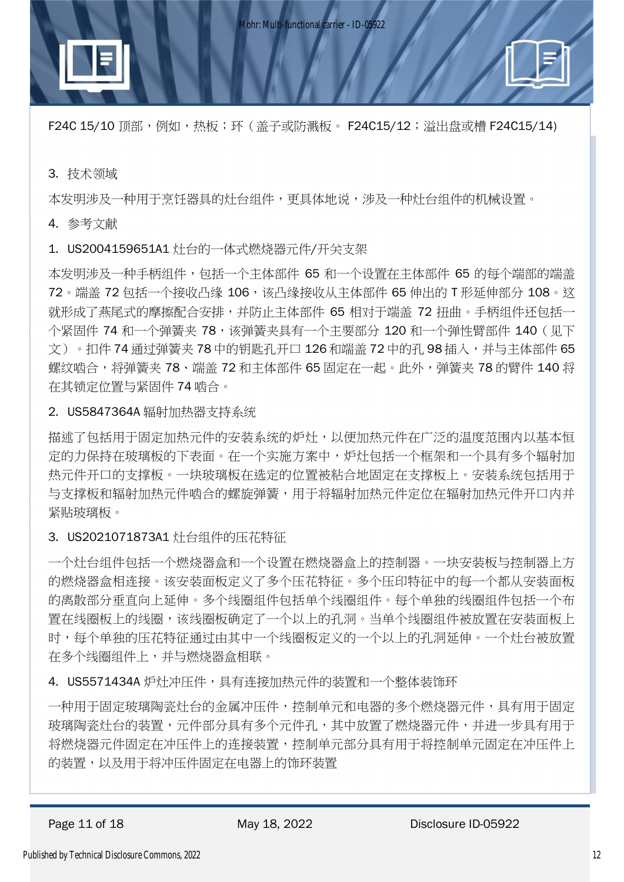F24C 15/10 顶部,例如,热板;环(盖子或防溅板。 F24C15/12;溢出盘或槽 F24C15/14)

#### 3. 技术领域

本发明涉及一种用于烹饪器具的灶台组件,更具体地说,涉及一种灶台组件的机械设置。

#### 4. 参考文献

1. US2004159651A1 灶台的一体式燃烧器元件/开关支架

本发明涉及一种手柄组件,包括一个主体部件 65 和一个设置在主体部件 65 的每个端部的端盖 72。端盖 72 包括一个接收凸缘 106,该凸缘接收从主体部件 65 伸出的 T 形延伸部分 108。这 就形成了燕尾式的摩擦配合安排,并防止主体部件 65 相对于端盖 72 扭曲。手柄组件还包括一 个紧固件 74 和一个弹簧夹 78,该弹簧夹具有一个主要部分 120 和一个弹性臂部件 140 (见下 文)。扣件 74 通过弹簧夹 78 中的钥匙孔开口 126 和端盖 72 中的孔 98 插入,并与主体部件 65 螺纹啮合,将弹簧夹 78、端盖 72 和主体部件 65 固定在一起。此外,弹簧夹 78 的臂件 140 将 在其锁定位置与紧固件 74 啮合。

#### 2. US5847364A 辐射加热器支持系统

描述了包括用于固定加热元件的安装系统的炉灶,以便加热元件在广泛的温度范围内以基本恒 定的力保持在玻璃板的下表面。在一个实施方案中,炉灶包括一个框架和一个具有多个辐射加 热元件开口的支撑板。一块玻璃板在选定的位置被粘合地固定在支撑板上。安装系统包括用于 与支撑板和辐射加热元件啮合的螺旋弹簧,用于将辐射加热元件定位在辐射加热元件开口内并 紧贴玻璃板。

3. US2021071873A1 灶台组件的压花特征

一个灶台组件包括一个燃烧器盒和一个设置在燃烧器盒上的控制器。一块安装板与控制器上方 的燃烧器盒相连接。该安装面板定义了多个压花特征。多个压印特征中的每一个都从安装面板 的离散部分垂直向上延伸。多个线圈组件包括单个线圈组件。每个单独的线圈组件包括一个布 置在线圈板上的线圈,该线圈板确定了一个以上的孔洞。当单个线圈组件被放置在安装面板上 时,每个单独的压花特征通过由其中一个线圈板定义的一个以上的孔洞延伸。一个灶台被放置 在多个线圈组件上,并与燃烧器盒相联。

4. US5571434A 炉灶冲压件,具有连接加热元件的装置和一个整体装饰环

一种用于固定玻璃陶瓷灶台的金属冲压件,控制单元和电器的多个燃烧器元件,具有用于固定 玻璃陶瓷灶台的装置,元件部分具有多个元件孔,其中放置了燃烧器元件,并进一步具有用于 将燃烧器元件固定在冲压件上的连接装置,控制单元部分具有用于将控制单元固定在冲压件上 的装置,以及用于将冲压件固定在电器上的饰环装置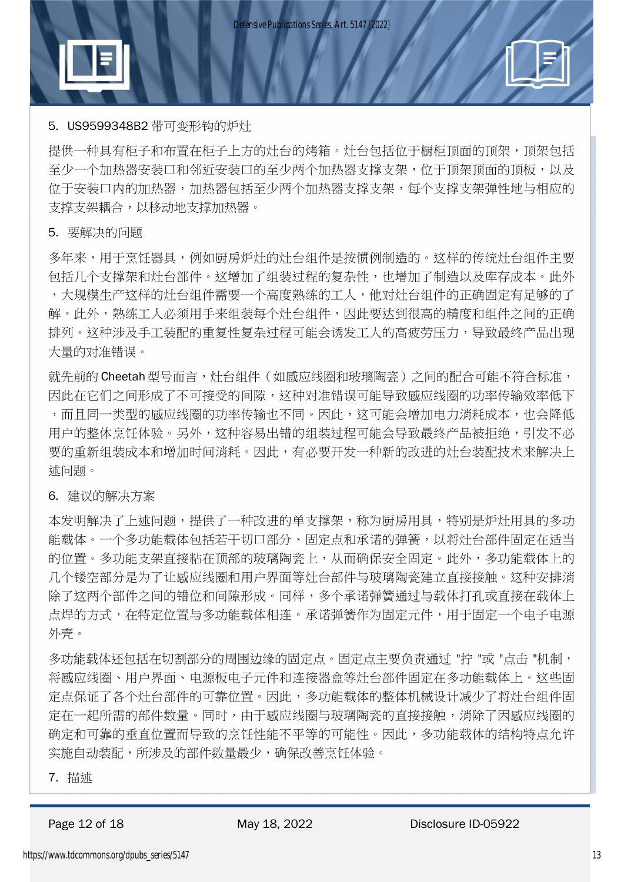

提供一种具有柜子和布置在柜子上方的灶台的烤箱。灶台包括位于橱柜顶面的顶架,顶架包括 至少一个加热器安装口和邻近安装口的至少两个加热器支撑支架,位于顶架顶面的顶板,以及 位于安装口内的加热器,加热器包括至少两个加热器支撑支架,每个支撑支架弹性地与相应的 支撑支架耦合,以移动地支撑加热器。

#### 5. 要解决的问题

多年来,用于烹饪器具,例如厨房炉灶的灶台组件是按惯例制造的。这样的传统灶台组件主要 包括几个支撑架和灶台部件。这增加了组装过程的复杂性,也增加了制造以及库存成本。此外 ,大规模生产这样的灶台组件需要一个高度熟练的工人,他对灶台组件的正确固定有足够的了 解。此外,熟练工人必须用手来组装每个灶台组件,因此要达到很高的精度和组件之间的正确 排列。这种涉及手工装配的重复性复杂过程可能会诱发工人的高疲劳压力,导致最终产品出现 大量的对准错误。

就先前的 Cheetah型号而言,灶台组件(如感应线圈和玻璃陶瓷)之间的配合可能不符合标准, 因此在它们之间形成了不可接受的间隙,这种对准错误可能导致感应线圈的功率传输效率低下 ,而且同一类型的感应线圈的功率传输也不同。因此,这可能会增加电力消耗成本,也会降低 用户的整体烹饪体验。另外,这种容易出错的组装过程可能会导致最终产品被拒绝,引发不必 要的重新组装成本和增加时间消耗。因此,有必要开发一种新的改进的灶台装配技术来解决上 述问题。

#### 6. 建议的解决方案

本发明解决了上述问题,提供了一种改进的单支撑架,称为厨房用具,特别是炉灶用具的多功 能载体。一个多功能载体包括若干切口部分、固定点和承诺的弹簧,以将灶台部件固定在适当 的位置。多功能支架直接粘在顶部的玻璃陶瓷上,从而确保安全固定。此外,多功能载体上的 几个镂空部分是为了让感应线圈和用户界面等灶台部件与玻璃陶瓷建立直接接触。这种安排消 除了这两个部件之间的错位和间隙形成。同样,多个承诺弹簧通过与载体打孔或直接在载体上 点焊的方式,在特定位置与多功能载体相连。承诺弹簧作为固定元件,用于固定一个电子电源 外壳。

多功能载体还包括在切割部分的周围边缘的固定点。固定点主要负责通过 "拧 "或 "点击 "机制, 将感应线圈、用户界面、电源板电子元件和连接器盒等灶台部件固定在多功能载体上。这些固 定点保证了各个灶台部件的可靠位置。因此,多功能载体的整体机械设计减少了将灶台组件固 定在一起所需的部件数量。同时,由于感应线圈与玻璃陶瓷的直接接触,消除了因感应线圈的 确定和可靠的垂直位置而导致的烹饪性能不平等的可能性。因此,多功能载体的结构特点允许 实施自动装配,所涉及的部件数量最少,确保改善烹饪体验。

7. 描述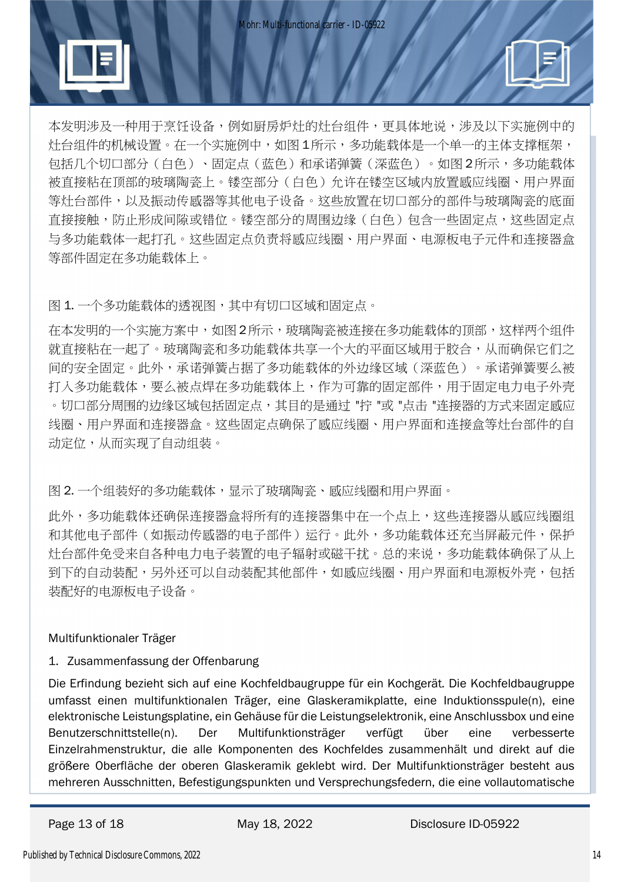

本发明涉及一种用于烹饪设备,例如厨房炉灶的灶台组件,更具体地说,涉及以下实施例中的 灶台组件的机械设置。在一个实施例中,如图 1所示,多功能载体是一个单一的主体支撑框架, 包括几个切口部分(白色)、固定点(蓝色)和承诺弹簧(深蓝色)。如图 2所示,多功能载体 被直接粘在顶部的玻璃陶瓷上。镂空部分(白色)允许在镂空区域内放置感应线圈、用户界面 等灶台部件,以及振动传感器等其他电子设备。这些放置在切口部分的部件与玻璃陶瓷的底面 直接接触,防止形成间隙或错位。镂空部分的周围边缘(白色)包含一些固定点,这些固定点 与多功能载体一起打孔。这些固定点负责将感应线圈、用户界面、电源板电子元件和连接器盒 等部件固定在多功能载体上。

图 1. 一个多功能载体的透视图,其中有切口区域和固定点。

在本发明的一个实施方案中,如图 2所示,玻璃陶瓷被连接在多功能载体的顶部,这样两个组件 就直接粘在一起了。玻璃陶瓷和多功能载体共享一个大的平面区域用于胶合,从而确保它们之 间的安全固定。此外,承诺弹簧占据了多功能载体的外边缘区域(深蓝色)。承诺弹簧要么被 打入多功能载体,要么被点焊在多功能载体上,作为可靠的固定部件,用于固定电力电子外壳 。切口部分周围的边缘区域包括固定点,其目的是通过 "拧 "或 "点击 "连接器的方式来固定感应 线圈、用户界面和连接器盒。这些固定点确保了感应线圈、用户界面和连接盒等灶台部件的自 动定位,从而实现了自动组装。

图 2. 一个组装好的多功能载体,显示了玻璃陶瓷、感应线圈和用户界面。

此外,多功能载体还确保连接器盒将所有的连接器集中在一个点上,这些连接器从感应线圈组 和其他电子部件(如振动传感器的电子部件)运行。此外,多功能载体还充当屏蔽元件,保护 灶台部件免受来自各种电力电子装置的电子辐射或磁干扰。总的来说,多功能载体确保了从上 到下的自动装配,也就要配其他部件,如感应线圈、用户界面和电源板外壳,包括 装配好的电源板电子设备。

### Multifunktionaler Träger

### 1. Zusammenfassung der Offenbarung

Die Erfindung bezieht sich auf eine Kochfeldbaugruppe für ein Kochgerät. Die Kochfeldbaugruppe umfasst einen multifunktionalen Träger, eine Glaskeramikplatte, eine Induktionsspule(n), eine elektronische Leistungsplatine, ein Gehäuse für die Leistungselektronik, eine Anschlussbox und eine Benutzerschnittstelle(n). Der Multifunktionsträger verfügt über eine verbesserte Einzelrahmenstruktur, die alle Komponenten des Kochfeldes zusammenhält und direkt auf die größere Oberfläche der oberen Glaskeramik geklebt wird. Der Multifunktionsträger besteht aus mehreren Ausschnitten, Befestigungspunkten und Versprechungsfedern, die eine vollautomatische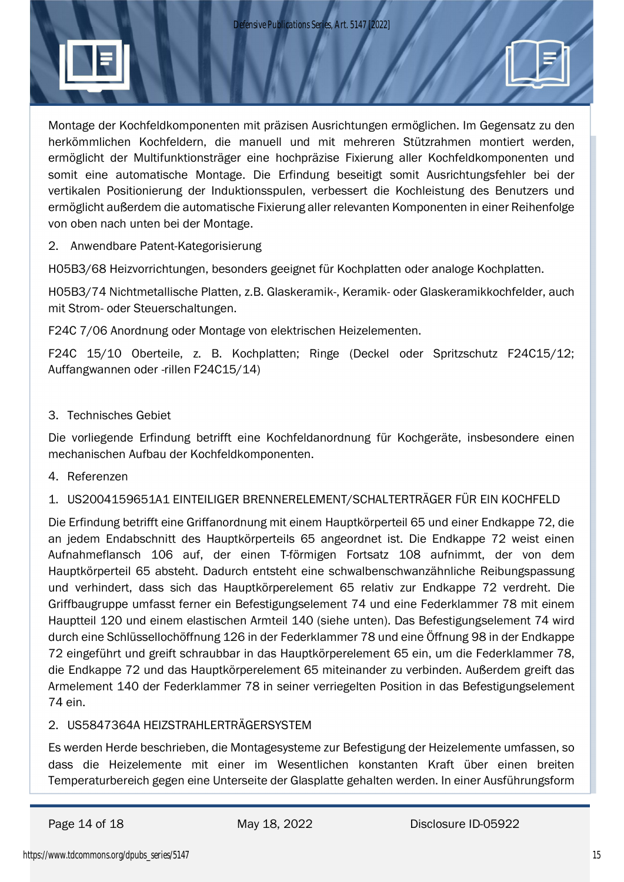

Montage der Kochfeldkomponenten mit präzisen Ausrichtungen ermöglichen. Im Gegensatz zu den herkömmlichen Kochfeldern, die manuell und mit mehreren Stützrahmen montiert werden, ermöglicht der Multifunktionsträger eine hochpräzise Fixierung aller Kochfeldkomponenten und somit eine automatische Montage. Die Erfindung beseitigt somit Ausrichtungsfehler bei der vertikalen Positionierung der Induktionsspulen, verbessert die Kochleistung des Benutzers und ermöglicht außerdem die automatische Fixierung aller relevanten Komponenten in einer Reihenfolge von oben nach unten bei der Montage.

#### 2. Anwendbare Patent-Kategorisierung

H05B3/68 Heizvorrichtungen, besonders geeignet für Kochplatten oder analoge Kochplatten.

H05B3/74 Nichtmetallische Platten, z.B. Glaskeramik-, Keramik- oder Glaskeramikkochfelder, auch mit Strom- oder Steuerschaltungen.

F24C 7/06 Anordnung oder Montage von elektrischen Heizelementen.

F24C 15/10 Oberteile, z. B. Kochplatten; Ringe (Deckel oder Spritzschutz F24C15/12; Auffangwannen oder -rillen F24C15/14)

#### 3. Technisches Gebiet

Die vorliegende Erfindung betrifft eine Kochfeldanordnung für Kochgeräte, insbesondere einen mechanischen Aufbau der Kochfeldkomponenten.

4. Referenzen

1. US2004159651A1 EINTEILIGER BRENNERELEMENT/SCHALTERTRÄGER FÜR EIN KOCHFELD

Die Erfindung betrifft eine Griffanordnung mit einem Hauptkörperteil 65 und einer Endkappe 72, die an jedem Endabschnitt des Hauptkörperteils 65 angeordnet ist. Die Endkappe 72 weist einen Aufnahmeflansch 106 auf, der einen T-förmigen Fortsatz 108 aufnimmt, der von dem Hauptkörperteil 65 absteht. Dadurch entsteht eine schwalbenschwanzähnliche Reibungspassung und verhindert, dass sich das Hauptkörperelement 65 relativ zur Endkappe 72 verdreht. Die Griffbaugruppe umfasst ferner ein Befestigungselement 74 und eine Federklammer 78 mit einem Hauptteil 120 und einem elastischen Armteil 140 (siehe unten). Das Befestigungselement 74 wird durch eine Schlüssellochöffnung 126 in der Federklammer 78 und eine Öffnung 98 in der Endkappe 72 eingeführt und greift schraubbar in das Hauptkörperelement 65 ein, um die Federklammer 78, die Endkappe 72 und das Hauptkörperelement 65 miteinander zu verbinden. Außerdem greift das Armelement 140 der Federklammer 78 in seiner verriegelten Position in das Befestigungselement 74 ein.

### 2. US5847364A HEIZSTRAHLERTRÄGERSYSTEM

Es werden Herde beschrieben, die Montagesysteme zur Befestigung der Heizelemente umfassen, so dass die Heizelemente mit einer im Wesentlichen konstanten Kraft über einen breiten Temperaturbereich gegen eine Unterseite der Glasplatte gehalten werden. In einer Ausführungsform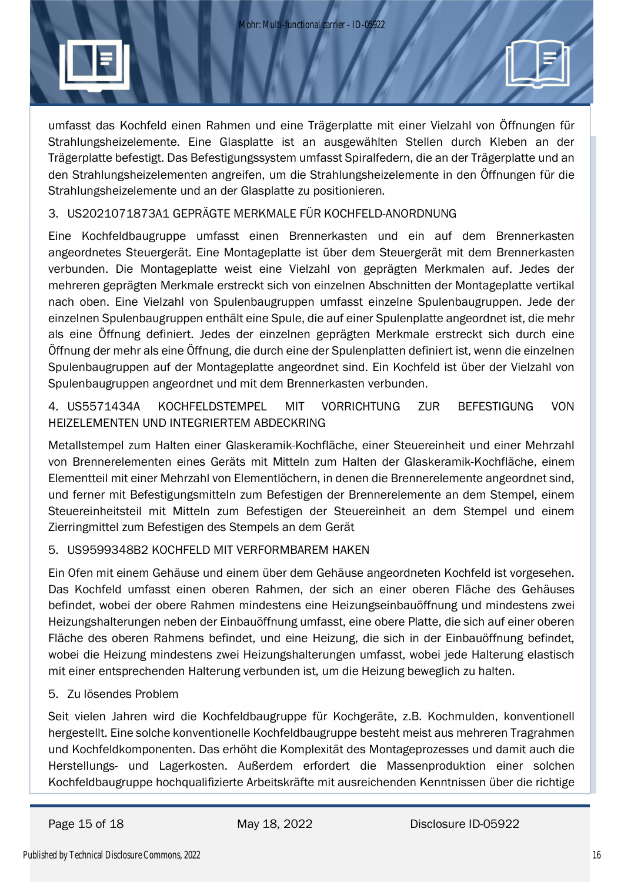

umfasst das Kochfeld einen Rahmen und eine Trägerplatte mit einer Vielzahl von Öffnungen für Strahlungsheizelemente. Eine Glasplatte ist an ausgewählten Stellen durch Kleben an der Trägerplatte befestigt. Das Befestigungssystem umfasst Spiralfedern, die an der Trägerplatte und an den Strahlungsheizelementen angreifen, um die Strahlungsheizelemente in den Öffnungen für die Strahlungsheizelemente und an der Glasplatte zu positionieren.

#### 3. US2021071873A1 GEPRÄGTE MERKMALE FÜR KOCHFELD-ANORDNUNG

Eine Kochfeldbaugruppe umfasst einen Brennerkasten und ein auf dem Brennerkasten angeordnetes Steuergerät. Eine Montageplatte ist über dem Steuergerät mit dem Brennerkasten verbunden. Die Montageplatte weist eine Vielzahl von geprägten Merkmalen auf. Jedes der mehreren geprägten Merkmale erstreckt sich von einzelnen Abschnitten der Montageplatte vertikal nach oben. Eine Vielzahl von Spulenbaugruppen umfasst einzelne Spulenbaugruppen. Jede der einzelnen Spulenbaugruppen enthält eine Spule, die auf einer Spulenplatte angeordnet ist, die mehr als eine Öffnung definiert. Jedes der einzelnen geprägten Merkmale erstreckt sich durch eine Öffnung der mehr als eine Öffnung, die durch eine der Spulenplatten definiert ist, wenn die einzelnen Spulenbaugruppen auf der Montageplatte angeordnet sind. Ein Kochfeld ist über der Vielzahl von Spulenbaugruppen angeordnet und mit dem Brennerkasten verbunden.

4. US5571434A KOCHFELDSTEMPEL MIT VORRICHTUNG ZUR BEFESTIGUNG VON HEIZELEMENTEN UND INTEGRIERTEM ABDECKRING

Metallstempel zum Halten einer Glaskeramik-Kochfläche, einer Steuereinheit und einer Mehrzahl von Brennerelementen eines Geräts mit Mitteln zum Halten der Glaskeramik-Kochfläche, einem Elementteil mit einer Mehrzahl von Elementlöchern, in denen die Brennerelemente angeordnet sind, und ferner mit Befestigungsmitteln zum Befestigen der Brennerelemente an dem Stempel, einem Steuereinheitsteil mit Mitteln zum Befestigen der Steuereinheit an dem Stempel und einem Zierringmittel zum Befestigen des Stempels an dem Gerät

### 5. US9599348B2 KOCHFELD MIT VERFORMBAREM HAKEN

Ein Ofen mit einem Gehäuse und einem über dem Gehäuse angeordneten Kochfeld ist vorgesehen. Das Kochfeld umfasst einen oberen Rahmen, der sich an einer oberen Fläche des Gehäuses befindet, wobei der obere Rahmen mindestens eine Heizungseinbauöffnung und mindestens zwei Heizungshalterungen neben der Einbauöffnung umfasst, eine obere Platte, die sich auf einer oberen Fläche des oberen Rahmens befindet, und eine Heizung, die sich in der Einbauöffnung befindet, wobei die Heizung mindestens zwei Heizungshalterungen umfasst, wobei jede Halterung elastisch mit einer entsprechenden Halterung verbunden ist, um die Heizung beweglich zu halten.

#### 5. Zu lösendes Problem

Seit vielen Jahren wird die Kochfeldbaugruppe für Kochgeräte, z.B. Kochmulden, konventionell hergestellt. Eine solche konventionelle Kochfeldbaugruppe besteht meist aus mehreren Tragrahmen und Kochfeldkomponenten. Das erhöht die Komplexität des Montageprozesses und damit auch die Herstellungs- und Lagerkosten. Außerdem erfordert die Massenproduktion einer solchen Kochfeldbaugruppe hochqualifizierte Arbeitskräfte mit ausreichenden Kenntnissen über die richtige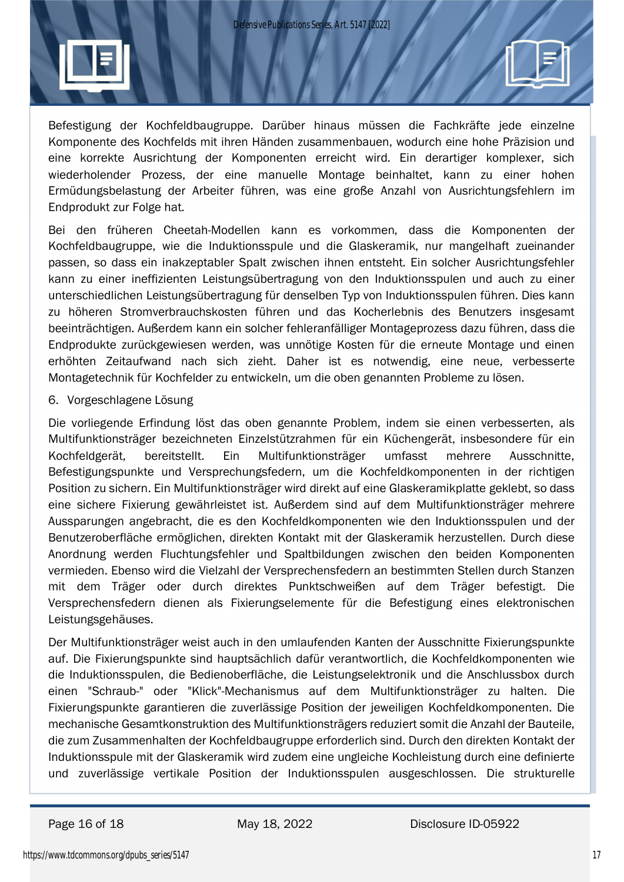

Befestigung der Kochfeldbaugruppe. Darüber hinaus müssen die Fachkräfte jede einzelne Komponente des Kochfelds mit ihren Händen zusammenbauen, wodurch eine hohe Präzision und eine korrekte Ausrichtung der Komponenten erreicht wird. Ein derartiger komplexer, sich wiederholender Prozess, der eine manuelle Montage beinhaltet, kann zu einer hohen Ermüdungsbelastung der Arbeiter führen, was eine große Anzahl von Ausrichtungsfehlern im Endprodukt zur Folge hat.

Bei den früheren Cheetah-Modellen kann es vorkommen, dass die Komponenten der Kochfeldbaugruppe, wie die Induktionsspule und die Glaskeramik, nur mangelhaft zueinander passen, so dass ein inakzeptabler Spalt zwischen ihnen entsteht. Ein solcher Ausrichtungsfehler kann zu einer ineffizienten Leistungsübertragung von den Induktionsspulen und auch zu einer unterschiedlichen Leistungsübertragung für denselben Typ von Induktionsspulen führen. Dies kann zu höheren Stromverbrauchskosten führen und das Kocherlebnis des Benutzers insgesamt beeinträchtigen. Außerdem kann ein solcher fehleranfälliger Montageprozess dazu führen, dass die Endprodukte zurückgewiesen werden, was unnötige Kosten für die erneute Montage und einen erhöhten Zeitaufwand nach sich zieht. Daher ist es notwendig, eine neue, verbesserte Montagetechnik für Kochfelder zu entwickeln, um die oben genannten Probleme zu lösen.

#### 6. Vorgeschlagene Lösung

Die vorliegende Erfindung löst das oben genannte Problem, indem sie einen verbesserten, als Multifunktionsträger bezeichneten Einzelstützrahmen für ein Küchengerät, insbesondere für ein Kochfeldgerät, bereitstellt. Ein Multifunktionsträger umfasst mehrere Ausschnitte, Befestigungspunkte und Versprechungsfedern, um die Kochfeldkomponenten in der richtigen Position zu sichern. Ein Multifunktionsträger wird direkt auf eine Glaskeramikplatte geklebt, so dass eine sichere Fixierung gewährleistet ist. Außerdem sind auf dem Multifunktionsträger mehrere Aussparungen angebracht, die es den Kochfeldkomponenten wie den Induktionsspulen und der Benutzeroberfläche ermöglichen, direkten Kontakt mit der Glaskeramik herzustellen. Durch diese Anordnung werden Fluchtungsfehler und Spaltbildungen zwischen den beiden Komponenten vermieden. Ebenso wird die Vielzahl der Versprechensfedern an bestimmten Stellen durch Stanzen mit dem Träger oder durch direktes Punktschweißen auf dem Träger befestigt. Die Versprechensfedern dienen als Fixierungselemente für die Befestigung eines elektronischen Leistungsgehäuses.

Der Multifunktionsträger weist auch in den umlaufenden Kanten der Ausschnitte Fixierungspunkte auf. Die Fixierungspunkte sind hauptsächlich dafür verantwortlich, die Kochfeldkomponenten wie die Induktionsspulen, die Bedienoberfläche, die Leistungselektronik und die Anschlussbox durch einen "Schraub-" oder "Klick"-Mechanismus auf dem Multifunktionsträger zu halten. Die Fixierungspunkte garantieren die zuverlässige Position der jeweiligen Kochfeldkomponenten. Die mechanische Gesamtkonstruktion des Multifunktionsträgers reduziert somit die Anzahl der Bauteile, die zum Zusammenhalten der Kochfeldbaugruppe erforderlich sind. Durch den direkten Kontakt der Induktionsspule mit der Glaskeramik wird zudem eine ungleiche Kochleistung durch eine definierte und zuverlässige vertikale Position der Induktionsspulen ausgeschlossen. Die strukturelle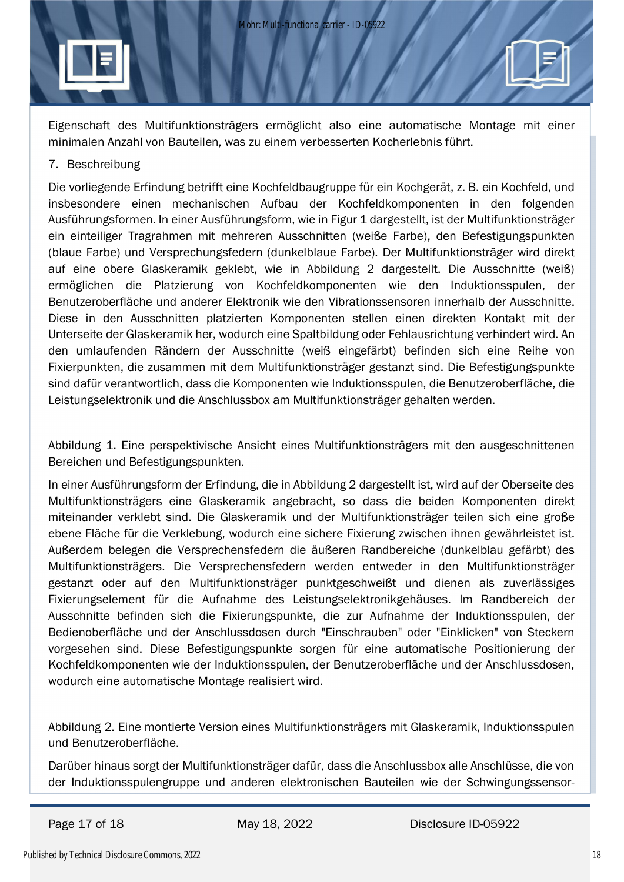Eigenschaft des Multifunktionsträgers ermöglicht also eine automatische Montage mit einer minimalen Anzahl von Bauteilen, was zu einem verbesserten Kocherlebnis führt.

#### 7. Beschreibung

Die vorliegende Erfindung betrifft eine Kochfeldbaugruppe für ein Kochgerät, z. B. ein Kochfeld, und insbesondere einen mechanischen Aufbau der Kochfeldkomponenten in den folgenden Ausführungsformen. In einer Ausführungsform, wie in Figur 1 dargestellt, ist der Multifunktionsträger ein einteiliger Tragrahmen mit mehreren Ausschnitten (weiße Farbe), den Befestigungspunkten (blaue Farbe) und Versprechungsfedern (dunkelblaue Farbe). Der Multifunktionsträger wird direkt auf eine obere Glaskeramik geklebt, wie in Abbildung 2 dargestellt. Die Ausschnitte (weiß) ermöglichen die Platzierung von Kochfeldkomponenten wie den Induktionsspulen, der Benutzeroberfläche und anderer Elektronik wie den Vibrationssensoren innerhalb der Ausschnitte. Diese in den Ausschnitten platzierten Komponenten stellen einen direkten Kontakt mit der Unterseite der Glaskeramik her, wodurch eine Spaltbildung oder Fehlausrichtung verhindert wird. An den umlaufenden Rändern der Ausschnitte (weiß eingefärbt) befinden sich eine Reihe von Fixierpunkten, die zusammen mit dem Multifunktionsträger gestanzt sind. Die Befestigungspunkte sind dafür verantwortlich, dass die Komponenten wie Induktionsspulen, die Benutzeroberfläche, die Leistungselektronik und die Anschlussbox am Multifunktionsträger gehalten werden.

Abbildung 1. Eine perspektivische Ansicht eines Multifunktionsträgers mit den ausgeschnittenen Bereichen und Befestigungspunkten.

In einer Ausführungsform der Erfindung, die in Abbildung 2 dargestellt ist, wird auf der Oberseite des Multifunktionsträgers eine Glaskeramik angebracht, so dass die beiden Komponenten direkt miteinander verklebt sind. Die Glaskeramik und der Multifunktionsträger teilen sich eine große ebene Fläche für die Verklebung, wodurch eine sichere Fixierung zwischen ihnen gewährleistet ist. Außerdem belegen die Versprechensfedern die äußeren Randbereiche (dunkelblau gefärbt) des Multifunktionsträgers. Die Versprechensfedern werden entweder in den Multifunktionsträger gestanzt oder auf den Multifunktionsträger punktgeschweißt und dienen als zuverlässiges Fixierungselement für die Aufnahme des Leistungselektronikgehäuses. Im Randbereich der Ausschnitte befinden sich die Fixierungspunkte, die zur Aufnahme der Induktionsspulen, der Bedienoberfläche und der Anschlussdosen durch "Einschrauben" oder "Einklicken" von Steckern vorgesehen sind. Diese Befestigungspunkte sorgen für eine automatische Positionierung der Kochfeldkomponenten wie der Induktionsspulen, der Benutzeroberfläche und der Anschlussdosen, wodurch eine automatische Montage realisiert wird.

Abbildung 2. Eine montierte Version eines Multifunktionsträgers mit Glaskeramik, Induktionsspulen und Benutzeroberfläche.

Darüber hinaus sorgt der Multifunktionsträger dafür, dass die Anschlussbox alle Anschlüsse, die von der Induktionsspulengruppe und anderen elektronischen Bauteilen wie der Schwingungssensor-